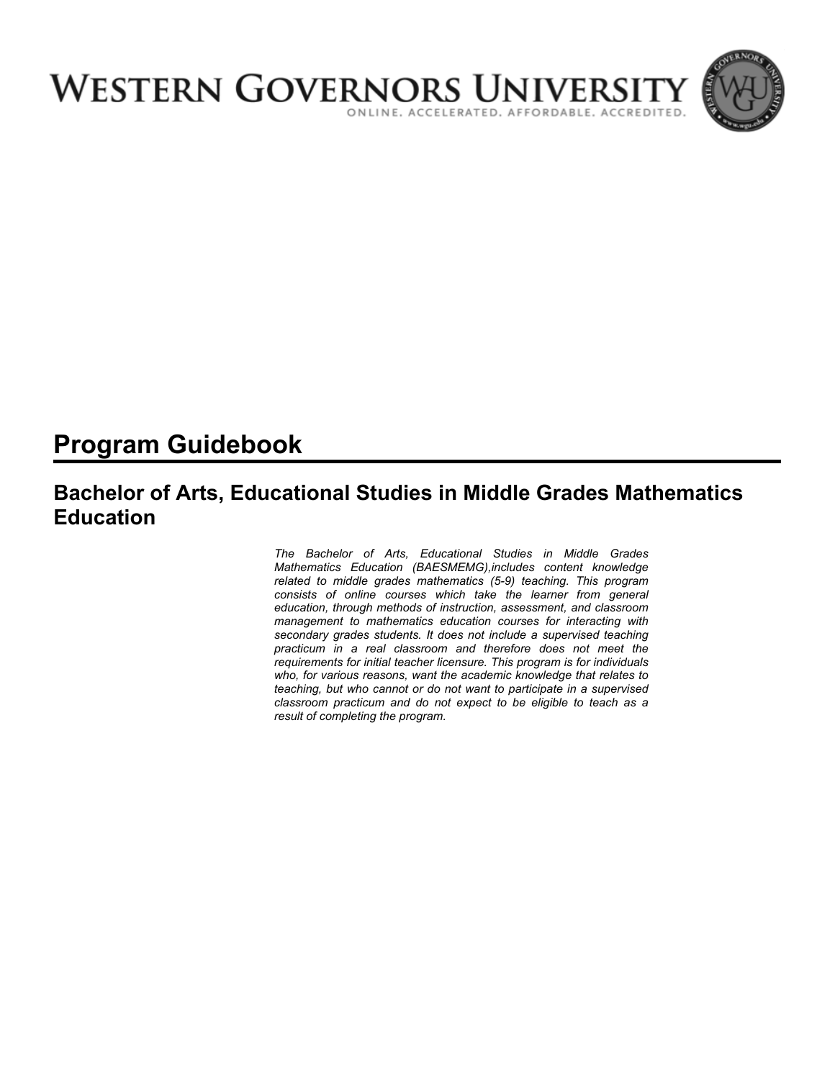

# **Program Guidebook**

# **Bachelor of Arts, Educational Studies in Middle Grades Mathematics Education**

*The Bachelor of Arts, Educational Studies in Middle Grades Mathematics Education (BAESMEMG),includes content knowledge related to middle grades mathematics (5-9) teaching. This program consists of online courses which take the learner from general education, through methods of instruction, assessment, and classroom management to mathematics education courses for interacting with secondary grades students. It does not include a supervised teaching practicum in a real classroom and therefore does not meet the requirements for initial teacher licensure. This program is for individuals who, for various reasons, want the academic knowledge that relates to teaching, but who cannot or do not want to participate in a supervised classroom practicum and do not expect to be eligible to teach as a result of completing the program.*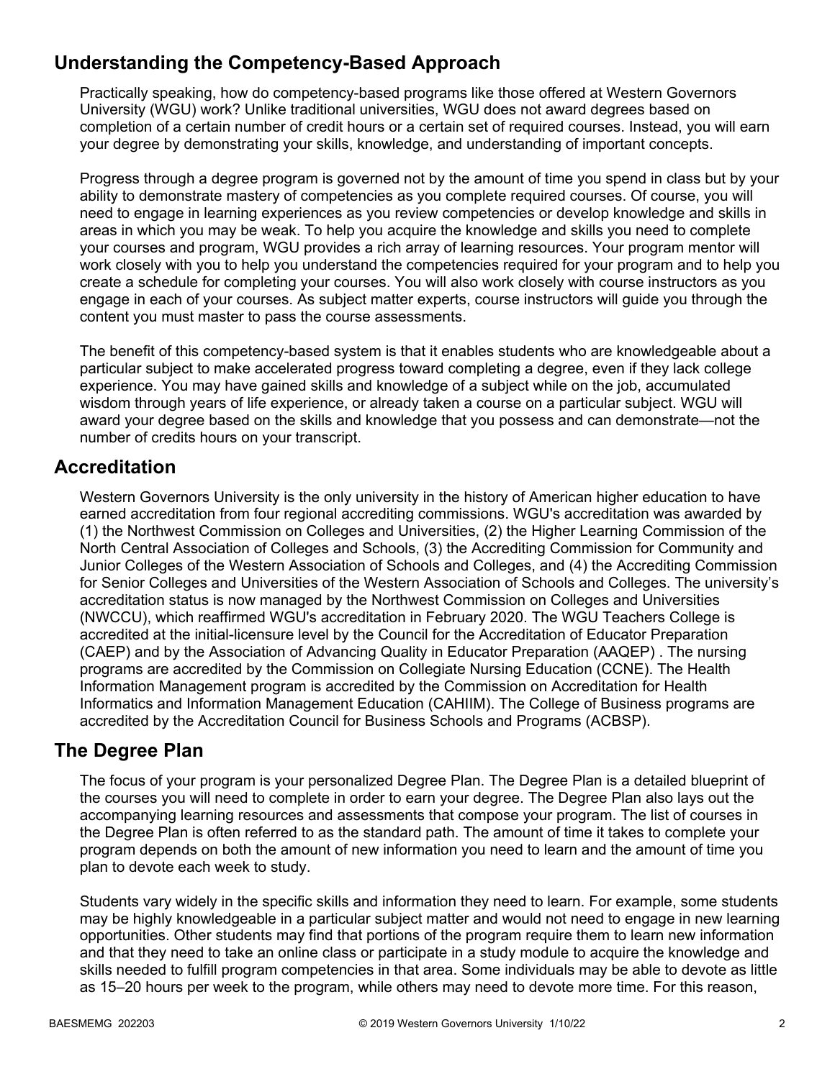# **Understanding the Competency-Based Approach**

Practically speaking, how do competency-based programs like those offered at Western Governors University (WGU) work? Unlike traditional universities, WGU does not award degrees based on completion of a certain number of credit hours or a certain set of required courses. Instead, you will earn your degree by demonstrating your skills, knowledge, and understanding of important concepts.

Progress through a degree program is governed not by the amount of time you spend in class but by your ability to demonstrate mastery of competencies as you complete required courses. Of course, you will need to engage in learning experiences as you review competencies or develop knowledge and skills in areas in which you may be weak. To help you acquire the knowledge and skills you need to complete your courses and program, WGU provides a rich array of learning resources. Your program mentor will work closely with you to help you understand the competencies required for your program and to help you create a schedule for completing your courses. You will also work closely with course instructors as you engage in each of your courses. As subject matter experts, course instructors will guide you through the content you must master to pass the course assessments.

The benefit of this competency-based system is that it enables students who are knowledgeable about a particular subject to make accelerated progress toward completing a degree, even if they lack college experience. You may have gained skills and knowledge of a subject while on the job, accumulated wisdom through years of life experience, or already taken a course on a particular subject. WGU will award your degree based on the skills and knowledge that you possess and can demonstrate—not the number of credits hours on your transcript.

## **Accreditation**

Western Governors University is the only university in the history of American higher education to have earned accreditation from four regional accrediting commissions. WGU's accreditation was awarded by (1) the Northwest Commission on Colleges and Universities, (2) the Higher Learning Commission of the North Central Association of Colleges and Schools, (3) the Accrediting Commission for Community and Junior Colleges of the Western Association of Schools and Colleges, and (4) the Accrediting Commission for Senior Colleges and Universities of the Western Association of Schools and Colleges. The university's accreditation status is now managed by the Northwest Commission on Colleges and Universities (NWCCU), which reaffirmed WGU's accreditation in February 2020. The WGU Teachers College is accredited at the initial-licensure level by the Council for the Accreditation of Educator Preparation (CAEP) and by the Association of Advancing Quality in Educator Preparation (AAQEP) . The nursing programs are accredited by the Commission on Collegiate Nursing Education (CCNE). The Health Information Management program is accredited by the Commission on Accreditation for Health Informatics and Information Management Education (CAHIIM). The College of Business programs are accredited by the Accreditation Council for Business Schools and Programs (ACBSP).

## **The Degree Plan**

The focus of your program is your personalized Degree Plan. The Degree Plan is a detailed blueprint of the courses you will need to complete in order to earn your degree. The Degree Plan also lays out the accompanying learning resources and assessments that compose your program. The list of courses in the Degree Plan is often referred to as the standard path. The amount of time it takes to complete your program depends on both the amount of new information you need to learn and the amount of time you plan to devote each week to study.

Students vary widely in the specific skills and information they need to learn. For example, some students may be highly knowledgeable in a particular subject matter and would not need to engage in new learning opportunities. Other students may find that portions of the program require them to learn new information and that they need to take an online class or participate in a study module to acquire the knowledge and skills needed to fulfill program competencies in that area. Some individuals may be able to devote as little as 15–20 hours per week to the program, while others may need to devote more time. For this reason,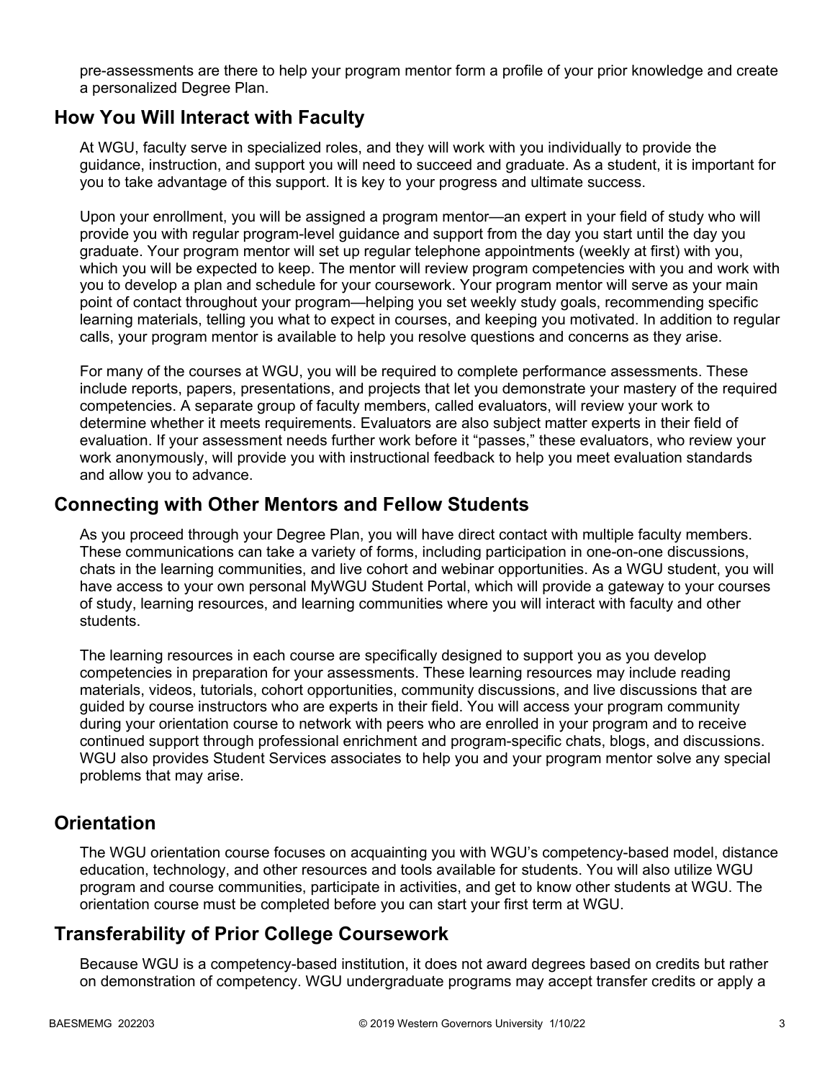pre-assessments are there to help your program mentor form a profile of your prior knowledge and create a personalized Degree Plan.

### **How You Will Interact with Faculty**

At WGU, faculty serve in specialized roles, and they will work with you individually to provide the guidance, instruction, and support you will need to succeed and graduate. As a student, it is important for you to take advantage of this support. It is key to your progress and ultimate success.

Upon your enrollment, you will be assigned a program mentor—an expert in your field of study who will provide you with regular program-level guidance and support from the day you start until the day you graduate. Your program mentor will set up regular telephone appointments (weekly at first) with you, which you will be expected to keep. The mentor will review program competencies with you and work with you to develop a plan and schedule for your coursework. Your program mentor will serve as your main point of contact throughout your program—helping you set weekly study goals, recommending specific learning materials, telling you what to expect in courses, and keeping you motivated. In addition to regular calls, your program mentor is available to help you resolve questions and concerns as they arise.

For many of the courses at WGU, you will be required to complete performance assessments. These include reports, papers, presentations, and projects that let you demonstrate your mastery of the required competencies. A separate group of faculty members, called evaluators, will review your work to determine whether it meets requirements. Evaluators are also subject matter experts in their field of evaluation. If your assessment needs further work before it "passes," these evaluators, who review your work anonymously, will provide you with instructional feedback to help you meet evaluation standards and allow you to advance.

### **Connecting with Other Mentors and Fellow Students**

As you proceed through your Degree Plan, you will have direct contact with multiple faculty members. These communications can take a variety of forms, including participation in one-on-one discussions, chats in the learning communities, and live cohort and webinar opportunities. As a WGU student, you will have access to your own personal MyWGU Student Portal, which will provide a gateway to your courses of study, learning resources, and learning communities where you will interact with faculty and other students.

The learning resources in each course are specifically designed to support you as you develop competencies in preparation for your assessments. These learning resources may include reading materials, videos, tutorials, cohort opportunities, community discussions, and live discussions that are guided by course instructors who are experts in their field. You will access your program community during your orientation course to network with peers who are enrolled in your program and to receive continued support through professional enrichment and program-specific chats, blogs, and discussions. WGU also provides Student Services associates to help you and your program mentor solve any special problems that may arise.

## **Orientation**

The WGU orientation course focuses on acquainting you with WGU's competency-based model, distance education, technology, and other resources and tools available for students. You will also utilize WGU program and course communities, participate in activities, and get to know other students at WGU. The orientation course must be completed before you can start your first term at WGU.

# **Transferability of Prior College Coursework**

Because WGU is a competency-based institution, it does not award degrees based on credits but rather on demonstration of competency. WGU undergraduate programs may accept transfer credits or apply a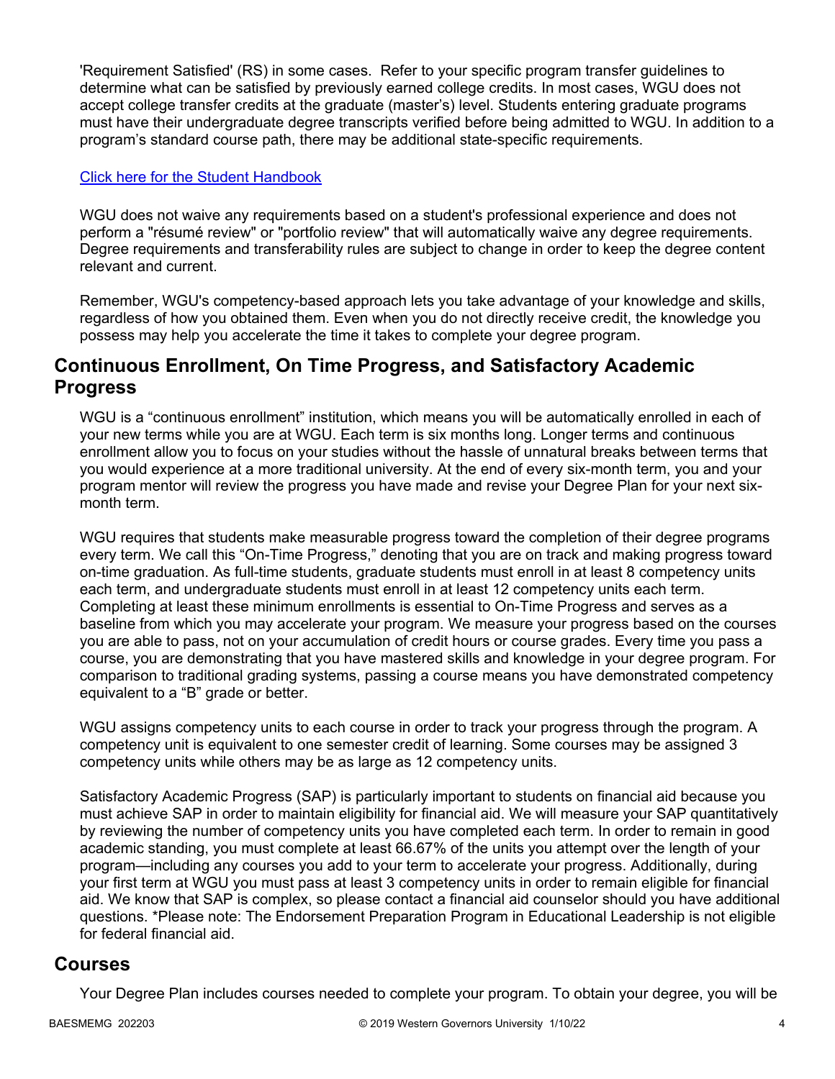'Requirement Satisfied' (RS) in some cases. Refer to your specific program transfer guidelines to determine what can be satisfied by previously earned college credits. In most cases, WGU does not accept college transfer credits at the graduate (master's) level. Students entering graduate programs must have their undergraduate degree transcripts verified before being admitted to WGU. In addition to a program's standard course path, there may be additional state-specific requirements.

#### [Click here for the Student Handbook](http://cm.wgu.edu/)

WGU does not waive any requirements based on a student's professional experience and does not perform a "résumé review" or "portfolio review" that will automatically waive any degree requirements. Degree requirements and transferability rules are subject to change in order to keep the degree content relevant and current.

Remember, WGU's competency-based approach lets you take advantage of your knowledge and skills, regardless of how you obtained them. Even when you do not directly receive credit, the knowledge you possess may help you accelerate the time it takes to complete your degree program.

### **Continuous Enrollment, On Time Progress, and Satisfactory Academic Progress**

WGU is a "continuous enrollment" institution, which means you will be automatically enrolled in each of your new terms while you are at WGU. Each term is six months long. Longer terms and continuous enrollment allow you to focus on your studies without the hassle of unnatural breaks between terms that you would experience at a more traditional university. At the end of every six-month term, you and your program mentor will review the progress you have made and revise your Degree Plan for your next sixmonth term.

WGU requires that students make measurable progress toward the completion of their degree programs every term. We call this "On-Time Progress," denoting that you are on track and making progress toward on-time graduation. As full-time students, graduate students must enroll in at least 8 competency units each term, and undergraduate students must enroll in at least 12 competency units each term. Completing at least these minimum enrollments is essential to On-Time Progress and serves as a baseline from which you may accelerate your program. We measure your progress based on the courses you are able to pass, not on your accumulation of credit hours or course grades. Every time you pass a course, you are demonstrating that you have mastered skills and knowledge in your degree program. For comparison to traditional grading systems, passing a course means you have demonstrated competency equivalent to a "B" grade or better.

WGU assigns competency units to each course in order to track your progress through the program. A competency unit is equivalent to one semester credit of learning. Some courses may be assigned 3 competency units while others may be as large as 12 competency units.

Satisfactory Academic Progress (SAP) is particularly important to students on financial aid because you must achieve SAP in order to maintain eligibility for financial aid. We will measure your SAP quantitatively by reviewing the number of competency units you have completed each term. In order to remain in good academic standing, you must complete at least 66.67% of the units you attempt over the length of your program—including any courses you add to your term to accelerate your progress. Additionally, during your first term at WGU you must pass at least 3 competency units in order to remain eligible for financial aid. We know that SAP is complex, so please contact a financial aid counselor should you have additional questions. \*Please note: The Endorsement Preparation Program in Educational Leadership is not eligible for federal financial aid.

### **Courses**

Your Degree Plan includes courses needed to complete your program. To obtain your degree, you will be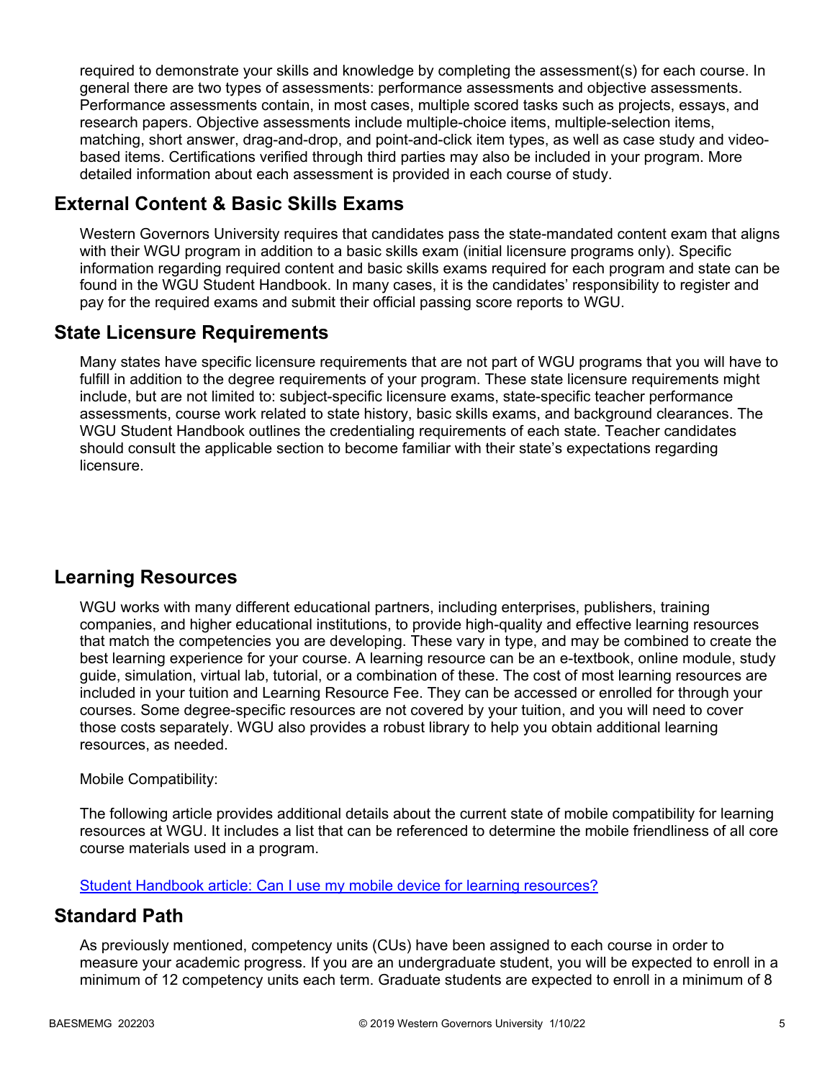required to demonstrate your skills and knowledge by completing the assessment(s) for each course. In general there are two types of assessments: performance assessments and objective assessments. Performance assessments contain, in most cases, multiple scored tasks such as projects, essays, and research papers. Objective assessments include multiple-choice items, multiple-selection items, matching, short answer, drag-and-drop, and point-and-click item types, as well as case study and videobased items. Certifications verified through third parties may also be included in your program. More detailed information about each assessment is provided in each course of study.

# **External Content & Basic Skills Exams**

Western Governors University requires that candidates pass the state-mandated content exam that aligns with their WGU program in addition to a basic skills exam (initial licensure programs only). Specific information regarding required content and basic skills exams required for each program and state can be found in the WGU Student Handbook. In many cases, it is the candidates' responsibility to register and pay for the required exams and submit their official passing score reports to WGU.

# **State Licensure Requirements**

Many states have specific licensure requirements that are not part of WGU programs that you will have to fulfill in addition to the degree requirements of your program. These state licensure requirements might include, but are not limited to: subject-specific licensure exams, state-specific teacher performance assessments, course work related to state history, basic skills exams, and background clearances. The WGU Student Handbook outlines the credentialing requirements of each state. Teacher candidates should consult the applicable section to become familiar with their state's expectations regarding licensure.

# **Learning Resources**

WGU works with many different educational partners, including enterprises, publishers, training companies, and higher educational institutions, to provide high-quality and effective learning resources that match the competencies you are developing. These vary in type, and may be combined to create the best learning experience for your course. A learning resource can be an e-textbook, online module, study guide, simulation, virtual lab, tutorial, or a combination of these. The cost of most learning resources are included in your tuition and Learning Resource Fee. They can be accessed or enrolled for through your courses. Some degree-specific resources are not covered by your tuition, and you will need to cover those costs separately. WGU also provides a robust library to help you obtain additional learning resources, as needed.

#### Mobile Compatibility:

The following article provides additional details about the current state of mobile compatibility for learning resources at WGU. It includes a list that can be referenced to determine the mobile friendliness of all core course materials used in a program.

[Student Handbook article: Can I use my mobile device for learning resources?](https://cm.wgu.edu/t5/Frequently-Asked-Questions/Can-I-use-my-mobile-device-for-learning-resources/ta-p/396)

## **Standard Path**

As previously mentioned, competency units (CUs) have been assigned to each course in order to measure your academic progress. If you are an undergraduate student, you will be expected to enroll in a minimum of 12 competency units each term. Graduate students are expected to enroll in a minimum of 8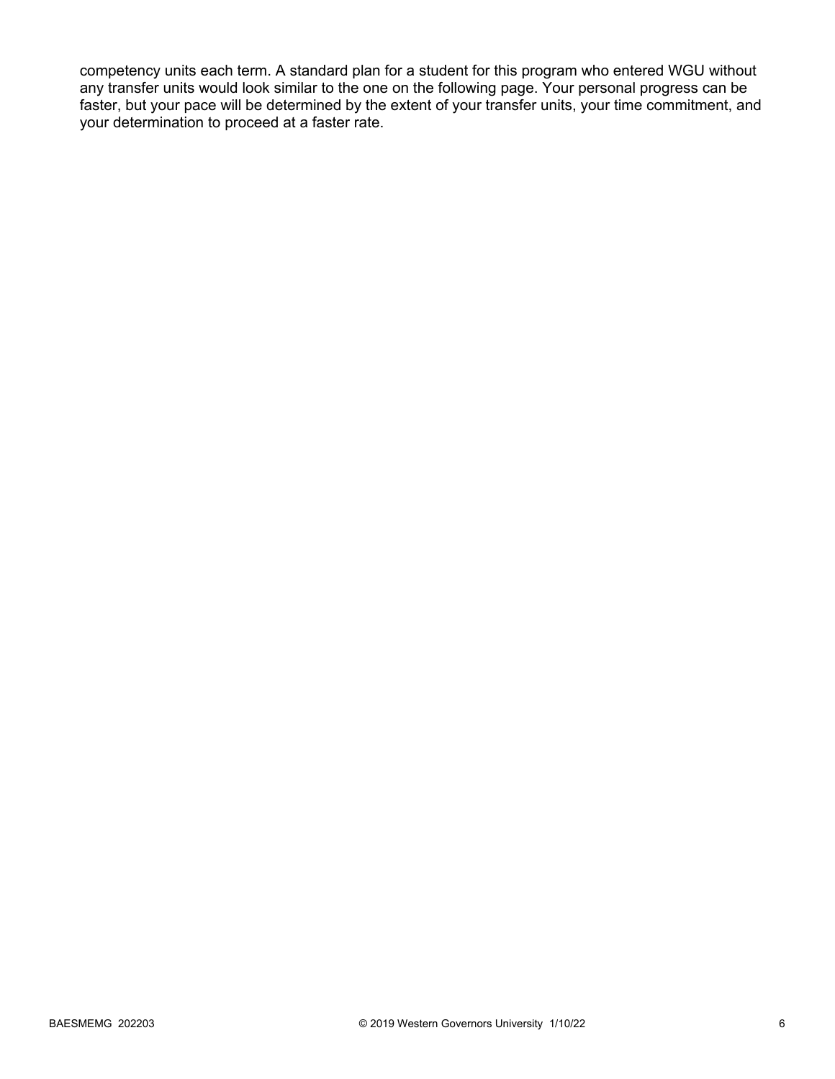competency units each term. A standard plan for a student for this program who entered WGU without any transfer units would look similar to the one on the following page. Your personal progress can be faster, but your pace will be determined by the extent of your transfer units, your time commitment, and your determination to proceed at a faster rate.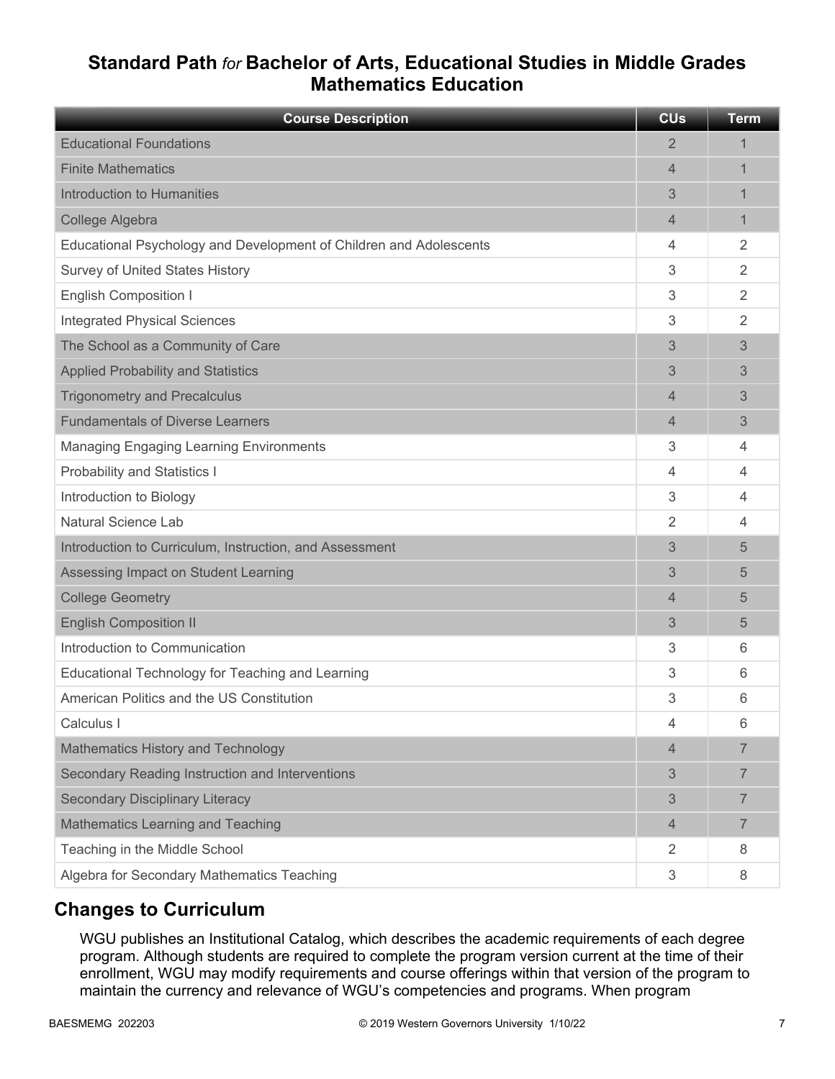# **Standard Path** *for* **Bachelor of Arts, Educational Studies in Middle Grades Mathematics Education**

| <b>Course Description</b>                                          | <b>CU<sub>s</sub></b> | <b>Term</b>    |
|--------------------------------------------------------------------|-----------------------|----------------|
| <b>Educational Foundations</b>                                     | $\overline{2}$        | 1              |
| <b>Finite Mathematics</b>                                          | $\overline{4}$        | 1              |
| <b>Introduction to Humanities</b>                                  | 3                     | 1              |
| College Algebra                                                    | 4                     | 1              |
| Educational Psychology and Development of Children and Adolescents | 4                     | 2              |
| <b>Survey of United States History</b>                             | 3                     | $\overline{2}$ |
| <b>English Composition I</b>                                       | 3                     | $\overline{2}$ |
| <b>Integrated Physical Sciences</b>                                | 3                     | 2              |
| The School as a Community of Care                                  | 3                     | 3              |
| <b>Applied Probability and Statistics</b>                          | 3                     | 3              |
| <b>Trigonometry and Precalculus</b>                                | $\overline{4}$        | 3              |
| <b>Fundamentals of Diverse Learners</b>                            | 4                     | 3              |
| <b>Managing Engaging Learning Environments</b>                     | 3                     | 4              |
| <b>Probability and Statistics I</b>                                | 4                     | 4              |
| Introduction to Biology                                            | 3                     | 4              |
| Natural Science Lab                                                | 2                     | 4              |
| Introduction to Curriculum, Instruction, and Assessment            | 3                     | 5              |
| Assessing Impact on Student Learning                               | 3                     | 5              |
| <b>College Geometry</b>                                            | 4                     | 5              |
| <b>English Composition II</b>                                      | 3                     | 5              |
| Introduction to Communication                                      | 3                     | 6              |
| Educational Technology for Teaching and Learning                   | 3                     | 6              |
| American Politics and the US Constitution                          | 3                     | 6              |
| Calculus I                                                         | 4                     | 6              |
| Mathematics History and Technology                                 | $\overline{4}$        | $\overline{7}$ |
| Secondary Reading Instruction and Interventions                    | 3                     | 7              |
| <b>Secondary Disciplinary Literacy</b>                             | 3                     | $\overline{7}$ |
| <b>Mathematics Learning and Teaching</b>                           | 4                     | $\overline{7}$ |
| Teaching in the Middle School                                      | 2                     | 8              |
| Algebra for Secondary Mathematics Teaching                         | 3                     | 8              |

# **Changes to Curriculum**

WGU publishes an Institutional Catalog, which describes the academic requirements of each degree program. Although students are required to complete the program version current at the time of their enrollment, WGU may modify requirements and course offerings within that version of the program to maintain the currency and relevance of WGU's competencies and programs. When program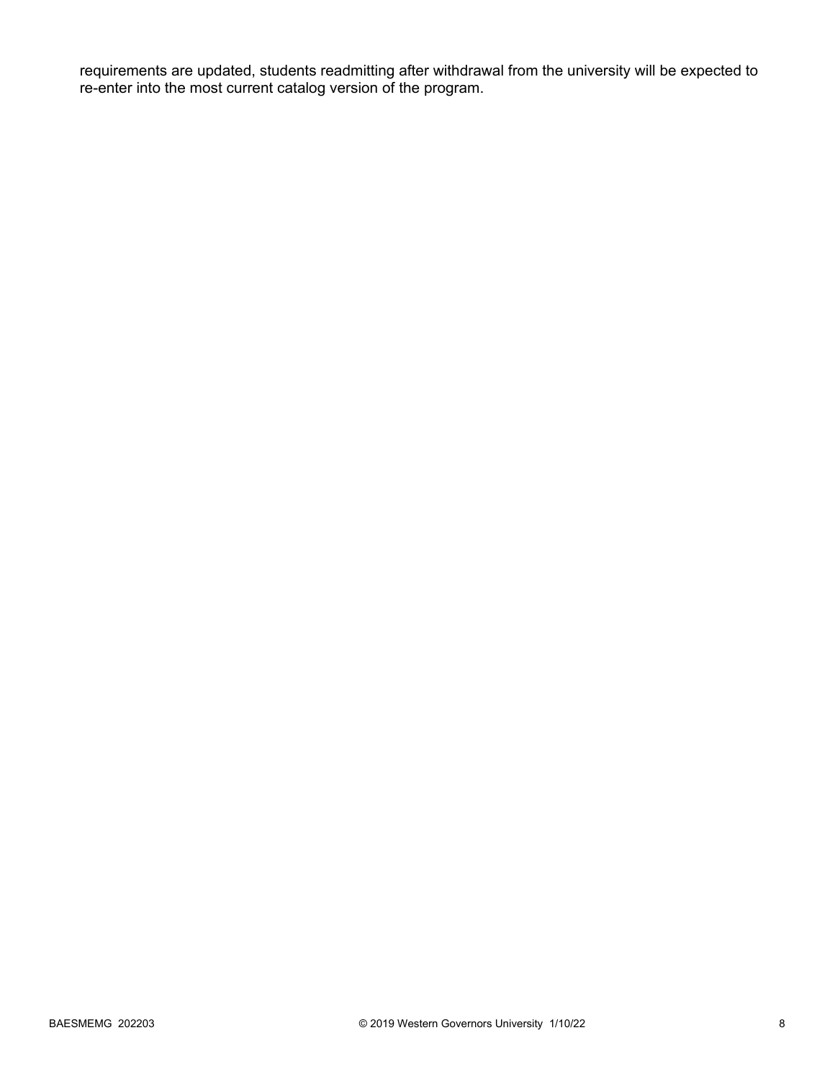requirements are updated, students readmitting after withdrawal from the university will be expected to re-enter into the most current catalog version of the program.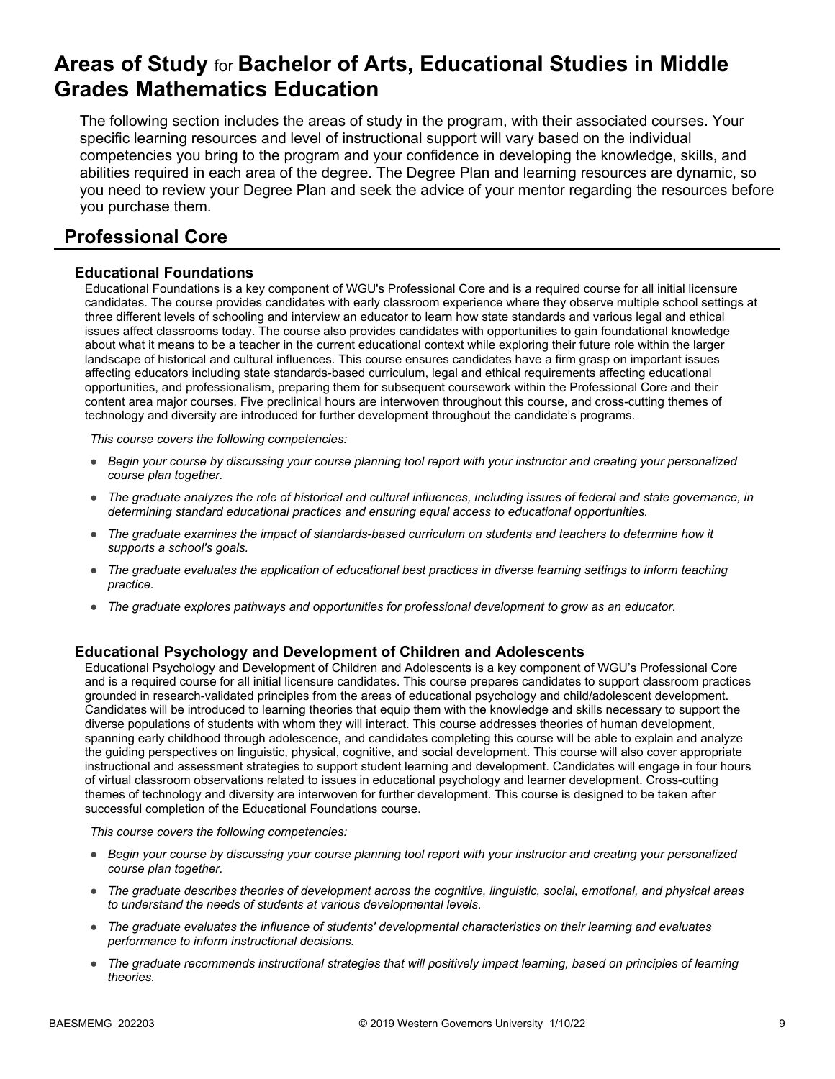# **Areas of Study** for **Bachelor of Arts, Educational Studies in Middle Grades Mathematics Education**

The following section includes the areas of study in the program, with their associated courses. Your specific learning resources and level of instructional support will vary based on the individual competencies you bring to the program and your confidence in developing the knowledge, skills, and abilities required in each area of the degree. The Degree Plan and learning resources are dynamic, so you need to review your Degree Plan and seek the advice of your mentor regarding the resources before you purchase them.

# **Professional Core**

#### **Educational Foundations**

Educational Foundations is a key component of WGU's Professional Core and is a required course for all initial licensure candidates. The course provides candidates with early classroom experience where they observe multiple school settings at three different levels of schooling and interview an educator to learn how state standards and various legal and ethical issues affect classrooms today. The course also provides candidates with opportunities to gain foundational knowledge about what it means to be a teacher in the current educational context while exploring their future role within the larger landscape of historical and cultural influences. This course ensures candidates have a firm grasp on important issues affecting educators including state standards-based curriculum, legal and ethical requirements affecting educational opportunities, and professionalism, preparing them for subsequent coursework within the Professional Core and their content area major courses. Five preclinical hours are interwoven throughout this course, and cross-cutting themes of technology and diversity are introduced for further development throughout the candidate's programs.

*This course covers the following competencies:*

- *Begin your course by discussing your course planning tool report with your instructor and creating your personalized course plan together.*
- *The graduate analyzes the role of historical and cultural influences, including issues of federal and state governance, in determining standard educational practices and ensuring equal access to educational opportunities.*
- *The graduate examines the impact of standards-based curriculum on students and teachers to determine how it supports a school's goals.*
- *The graduate evaluates the application of educational best practices in diverse learning settings to inform teaching practice.*
- *The graduate explores pathways and opportunities for professional development to grow as an educator.*

#### **Educational Psychology and Development of Children and Adolescents**

Educational Psychology and Development of Children and Adolescents is a key component of WGU's Professional Core and is a required course for all initial licensure candidates. This course prepares candidates to support classroom practices grounded in research-validated principles from the areas of educational psychology and child/adolescent development. Candidates will be introduced to learning theories that equip them with the knowledge and skills necessary to support the diverse populations of students with whom they will interact. This course addresses theories of human development, spanning early childhood through adolescence, and candidates completing this course will be able to explain and analyze the guiding perspectives on linguistic, physical, cognitive, and social development. This course will also cover appropriate instructional and assessment strategies to support student learning and development. Candidates will engage in four hours of virtual classroom observations related to issues in educational psychology and learner development. Cross-cutting themes of technology and diversity are interwoven for further development. This course is designed to be taken after successful completion of the Educational Foundations course.

- *Begin your course by discussing your course planning tool report with your instructor and creating your personalized course plan together.*
- *The graduate describes theories of development across the cognitive, linguistic, social, emotional, and physical areas to understand the needs of students at various developmental levels.*
- *The graduate evaluates the influence of students' developmental characteristics on their learning and evaluates performance to inform instructional decisions.*
- *The graduate recommends instructional strategies that will positively impact learning, based on principles of learning theories.*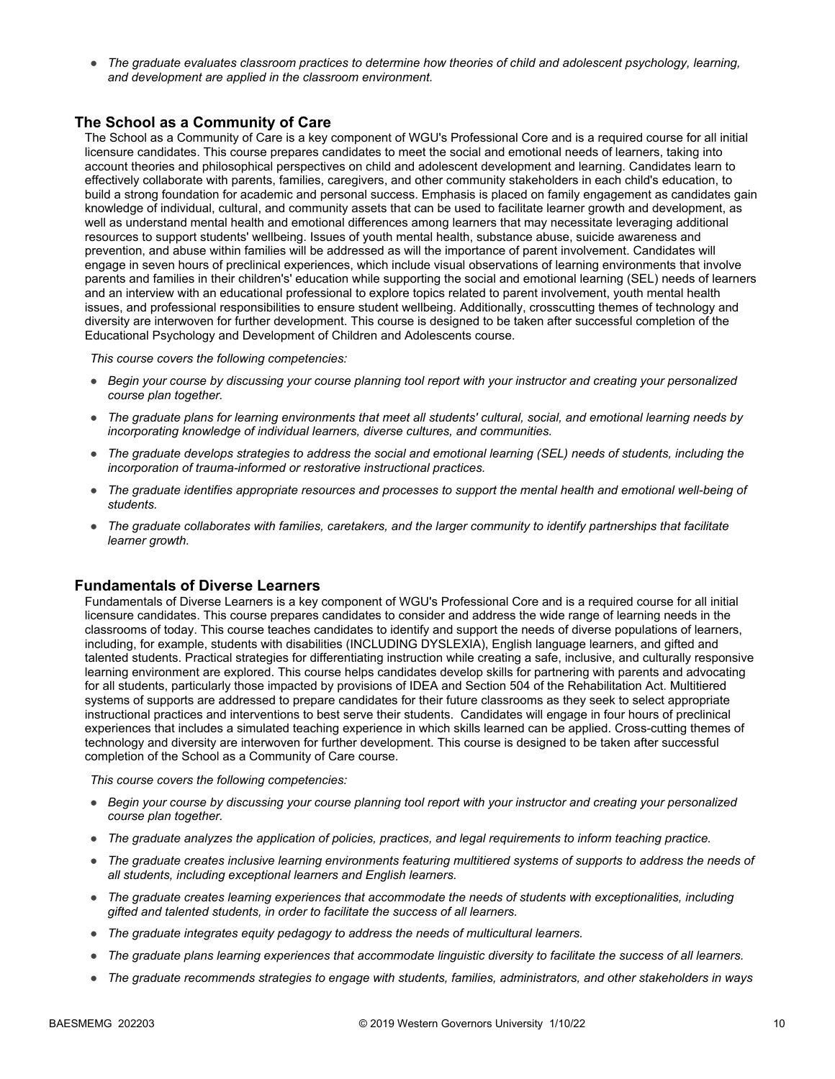● *The graduate evaluates classroom practices to determine how theories of child and adolescent psychology, learning, and development are applied in the classroom environment.*

#### **The School as a Community of Care**

The School as a Community of Care is a key component of WGU's Professional Core and is a required course for all initial licensure candidates. This course prepares candidates to meet the social and emotional needs of learners, taking into account theories and philosophical perspectives on child and adolescent development and learning. Candidates learn to effectively collaborate with parents, families, caregivers, and other community stakeholders in each child's education, to build a strong foundation for academic and personal success. Emphasis is placed on family engagement as candidates gain knowledge of individual, cultural, and community assets that can be used to facilitate learner growth and development, as well as understand mental health and emotional differences among learners that may necessitate leveraging additional resources to support students' wellbeing. Issues of youth mental health, substance abuse, suicide awareness and prevention, and abuse within families will be addressed as will the importance of parent involvement. Candidates will engage in seven hours of preclinical experiences, which include visual observations of learning environments that involve parents and families in their children's' education while supporting the social and emotional learning (SEL) needs of learners and an interview with an educational professional to explore topics related to parent involvement, youth mental health issues, and professional responsibilities to ensure student wellbeing. Additionally, crosscutting themes of technology and diversity are interwoven for further development. This course is designed to be taken after successful completion of the Educational Psychology and Development of Children and Adolescents course.

*This course covers the following competencies:*

- *Begin your course by discussing your course planning tool report with your instructor and creating your personalized course plan together.*
- *The graduate plans for learning environments that meet all students' cultural, social, and emotional learning needs by incorporating knowledge of individual learners, diverse cultures, and communities.*
- *The graduate develops strategies to address the social and emotional learning (SEL) needs of students, including the incorporation of trauma-informed or restorative instructional practices.*
- *The graduate identifies appropriate resources and processes to support the mental health and emotional well-being of students.*
- *The graduate collaborates with families, caretakers, and the larger community to identify partnerships that facilitate learner growth.*

#### **Fundamentals of Diverse Learners**

Fundamentals of Diverse Learners is a key component of WGU's Professional Core and is a required course for all initial licensure candidates. This course prepares candidates to consider and address the wide range of learning needs in the classrooms of today. This course teaches candidates to identify and support the needs of diverse populations of learners, including, for example, students with disabilities (INCLUDING DYSLEXIA), English language learners, and gifted and talented students. Practical strategies for differentiating instruction while creating a safe, inclusive, and culturally responsive learning environment are explored. This course helps candidates develop skills for partnering with parents and advocating for all students, particularly those impacted by provisions of IDEA and Section 504 of the Rehabilitation Act. Multitiered systems of supports are addressed to prepare candidates for their future classrooms as they seek to select appropriate instructional practices and interventions to best serve their students. Candidates will engage in four hours of preclinical experiences that includes a simulated teaching experience in which skills learned can be applied. Cross-cutting themes of technology and diversity are interwoven for further development. This course is designed to be taken after successful completion of the School as a Community of Care course.

- *Begin your course by discussing your course planning tool report with your instructor and creating your personalized course plan together.*
- *The graduate analyzes the application of policies, practices, and legal requirements to inform teaching practice.*
- *The graduate creates inclusive learning environments featuring multitiered systems of supports to address the needs of all students, including exceptional learners and English learners.*
- *The graduate creates learning experiences that accommodate the needs of students with exceptionalities, including gifted and talented students, in order to facilitate the success of all learners.*
- *The graduate integrates equity pedagogy to address the needs of multicultural learners.*
- *The graduate plans learning experiences that accommodate linguistic diversity to facilitate the success of all learners.*
- *The graduate recommends strategies to engage with students, families, administrators, and other stakeholders in ways*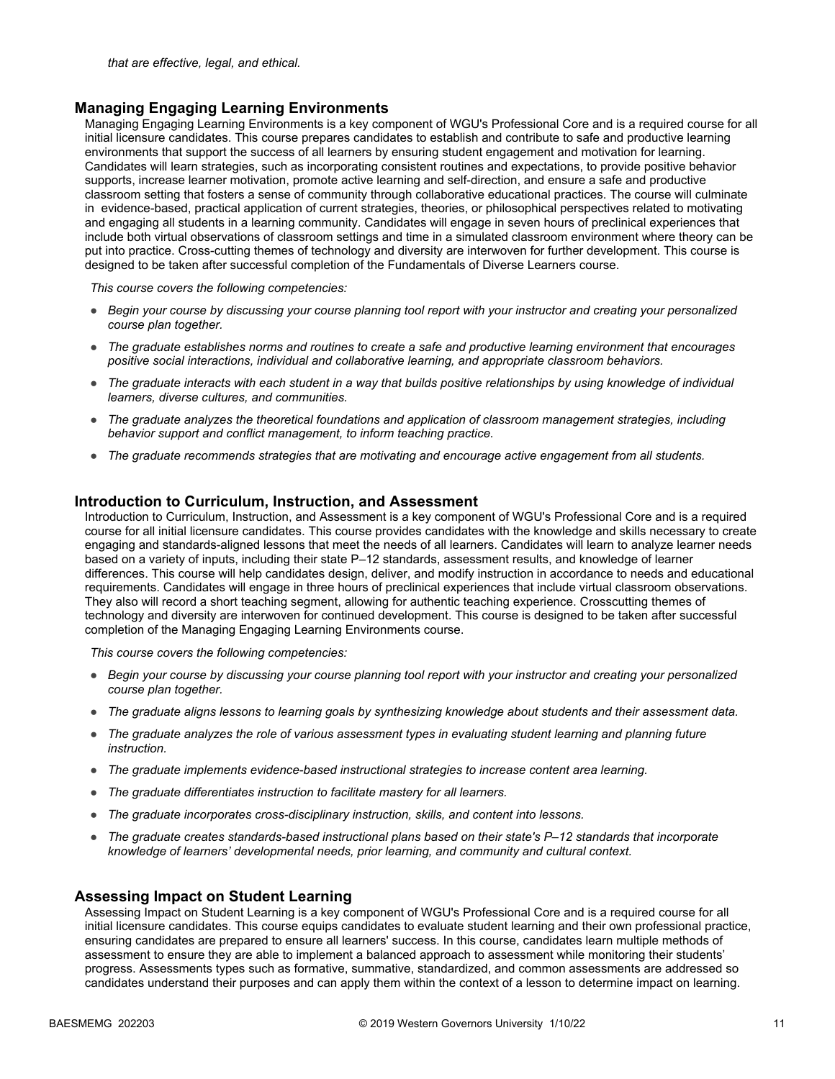#### **Managing Engaging Learning Environments**

Managing Engaging Learning Environments is a key component of WGU's Professional Core and is a required course for all initial licensure candidates. This course prepares candidates to establish and contribute to safe and productive learning environments that support the success of all learners by ensuring student engagement and motivation for learning. Candidates will learn strategies, such as incorporating consistent routines and expectations, to provide positive behavior supports, increase learner motivation, promote active learning and self-direction, and ensure a safe and productive classroom setting that fosters a sense of community through collaborative educational practices. The course will culminate in evidence-based, practical application of current strategies, theories, or philosophical perspectives related to motivating and engaging all students in a learning community. Candidates will engage in seven hours of preclinical experiences that include both virtual observations of classroom settings and time in a simulated classroom environment where theory can be put into practice. Cross-cutting themes of technology and diversity are interwoven for further development. This course is designed to be taken after successful completion of the Fundamentals of Diverse Learners course.

*This course covers the following competencies:*

- *Begin your course by discussing your course planning tool report with your instructor and creating your personalized course plan together.*
- *The graduate establishes norms and routines to create a safe and productive learning environment that encourages positive social interactions, individual and collaborative learning, and appropriate classroom behaviors.*
- *The graduate interacts with each student in a way that builds positive relationships by using knowledge of individual learners, diverse cultures, and communities.*
- *The graduate analyzes the theoretical foundations and application of classroom management strategies, including behavior support and conflict management, to inform teaching practice.*
- *The graduate recommends strategies that are motivating and encourage active engagement from all students.*

#### **Introduction to Curriculum, Instruction, and Assessment**

Introduction to Curriculum, Instruction, and Assessment is a key component of WGU's Professional Core and is a required course for all initial licensure candidates. This course provides candidates with the knowledge and skills necessary to create engaging and standards-aligned lessons that meet the needs of all learners. Candidates will learn to analyze learner needs based on a variety of inputs, including their state P–12 standards, assessment results, and knowledge of learner differences. This course will help candidates design, deliver, and modify instruction in accordance to needs and educational requirements. Candidates will engage in three hours of preclinical experiences that include virtual classroom observations. They also will record a short teaching segment, allowing for authentic teaching experience. Crosscutting themes of technology and diversity are interwoven for continued development. This course is designed to be taken after successful completion of the Managing Engaging Learning Environments course.

*This course covers the following competencies:*

- *Begin your course by discussing your course planning tool report with your instructor and creating your personalized course plan together.*
- *The graduate aligns lessons to learning goals by synthesizing knowledge about students and their assessment data.*
- *The graduate analyzes the role of various assessment types in evaluating student learning and planning future instruction.*
- *The graduate implements evidence-based instructional strategies to increase content area learning.*
- *The graduate differentiates instruction to facilitate mastery for all learners.*
- *The graduate incorporates cross-disciplinary instruction, skills, and content into lessons.*
- *The graduate creates standards-based instructional plans based on their state's P–12 standards that incorporate knowledge of learners' developmental needs, prior learning, and community and cultural context.*

#### **Assessing Impact on Student Learning**

Assessing Impact on Student Learning is a key component of WGU's Professional Core and is a required course for all initial licensure candidates. This course equips candidates to evaluate student learning and their own professional practice, ensuring candidates are prepared to ensure all learners' success. In this course, candidates learn multiple methods of assessment to ensure they are able to implement a balanced approach to assessment while monitoring their students' progress. Assessments types such as formative, summative, standardized, and common assessments are addressed so candidates understand their purposes and can apply them within the context of a lesson to determine impact on learning.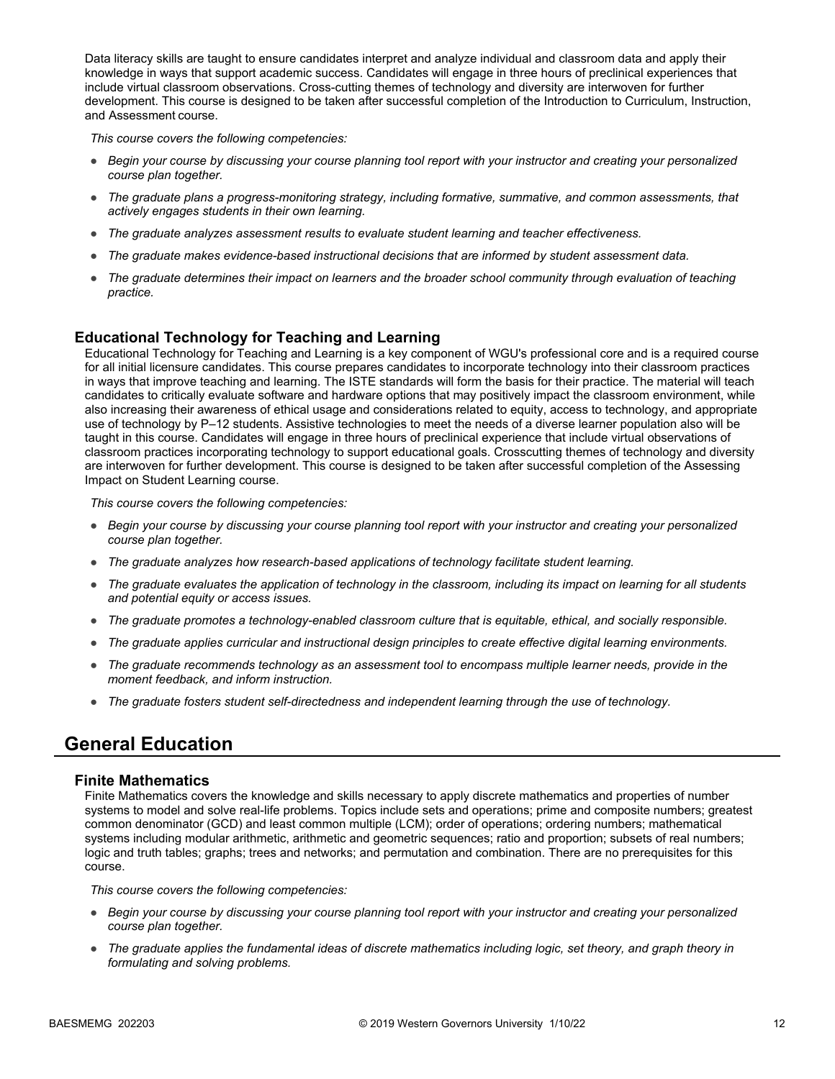Data literacy skills are taught to ensure candidates interpret and analyze individual and classroom data and apply their knowledge in ways that support academic success. Candidates will engage in three hours of preclinical experiences that include virtual classroom observations. Cross-cutting themes of technology and diversity are interwoven for further development. This course is designed to be taken after successful completion of the Introduction to Curriculum, Instruction, and Assessment course.

*This course covers the following competencies:*

- *Begin your course by discussing your course planning tool report with your instructor and creating your personalized course plan together.*
- *The graduate plans a progress-monitoring strategy, including formative, summative, and common assessments, that actively engages students in their own learning.*
- *The graduate analyzes assessment results to evaluate student learning and teacher effectiveness.*
- *The graduate makes evidence-based instructional decisions that are informed by student assessment data.*
- *The graduate determines their impact on learners and the broader school community through evaluation of teaching practice.*

#### **Educational Technology for Teaching and Learning**

Educational Technology for Teaching and Learning is a key component of WGU's professional core and is a required course for all initial licensure candidates. This course prepares candidates to incorporate technology into their classroom practices in ways that improve teaching and learning. The ISTE standards will form the basis for their practice. The material will teach candidates to critically evaluate software and hardware options that may positively impact the classroom environment, while also increasing their awareness of ethical usage and considerations related to equity, access to technology, and appropriate use of technology by P–12 students. Assistive technologies to meet the needs of a diverse learner population also will be taught in this course. Candidates will engage in three hours of preclinical experience that include virtual observations of classroom practices incorporating technology to support educational goals. Crosscutting themes of technology and diversity are interwoven for further development. This course is designed to be taken after successful completion of the Assessing Impact on Student Learning course.

*This course covers the following competencies:*

- *Begin your course by discussing your course planning tool report with your instructor and creating your personalized course plan together.*
- *The graduate analyzes how research-based applications of technology facilitate student learning.*
- *The graduate evaluates the application of technology in the classroom, including its impact on learning for all students and potential equity or access issues.*
- *The graduate promotes a technology-enabled classroom culture that is equitable, ethical, and socially responsible.*
- *The graduate applies curricular and instructional design principles to create effective digital learning environments.*
- *The graduate recommends technology as an assessment tool to encompass multiple learner needs, provide in the moment feedback, and inform instruction.*
- *The graduate fosters student self-directedness and independent learning through the use of technology.*

## **General Education**

#### **Finite Mathematics**

Finite Mathematics covers the knowledge and skills necessary to apply discrete mathematics and properties of number systems to model and solve real-life problems. Topics include sets and operations; prime and composite numbers; greatest common denominator (GCD) and least common multiple (LCM); order of operations; ordering numbers; mathematical systems including modular arithmetic, arithmetic and geometric sequences; ratio and proportion; subsets of real numbers; logic and truth tables; graphs; trees and networks; and permutation and combination. There are no prerequisites for this course.

- *Begin your course by discussing your course planning tool report with your instructor and creating your personalized course plan together.*
- *The graduate applies the fundamental ideas of discrete mathematics including logic, set theory, and graph theory in formulating and solving problems.*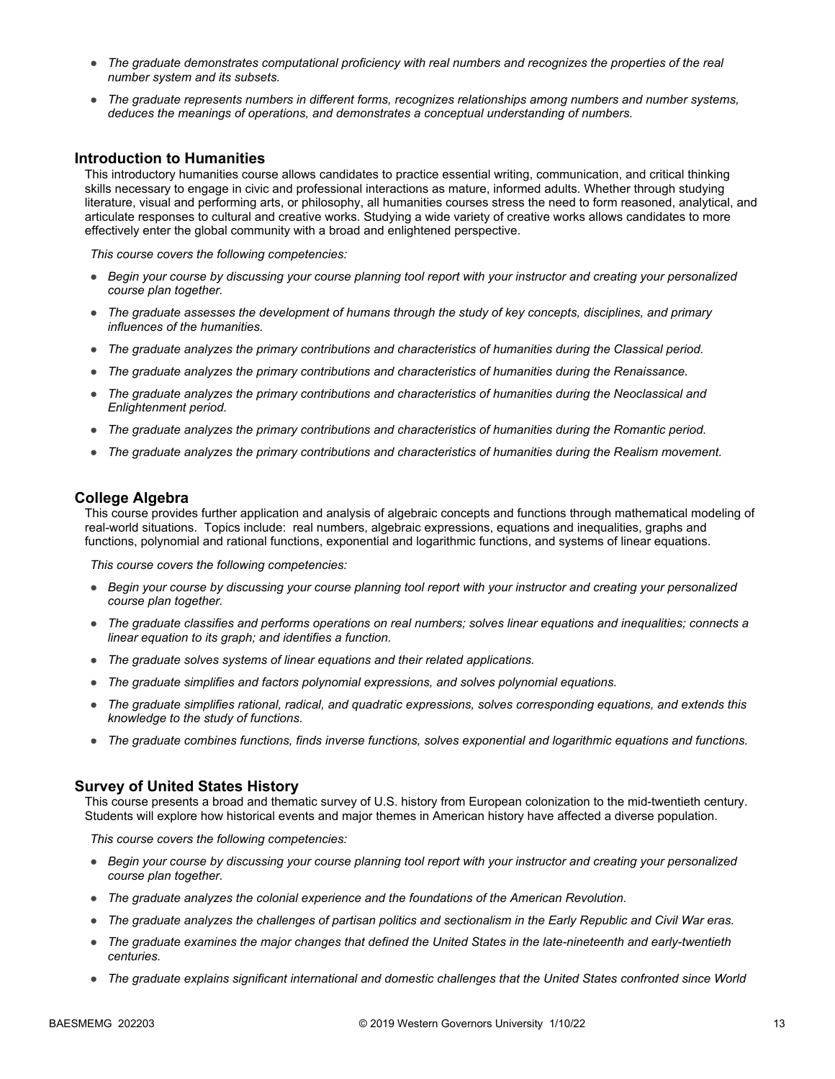- *The graduate demonstrates computational proficiency with real numbers and recognizes the properties of the real number system and its subsets.*
- *The graduate represents numbers in different forms, recognizes relationships among numbers and number systems, deduces the meanings of operations, and demonstrates a conceptual understanding of numbers.*

#### **Introduction to Humanities**

This introductory humanities course allows candidates to practice essential writing, communication, and critical thinking skills necessary to engage in civic and professional interactions as mature, informed adults. Whether through studying literature, visual and performing arts, or philosophy, all humanities courses stress the need to form reasoned, analytical, and articulate responses to cultural and creative works. Studying a wide variety of creative works allows candidates to more effectively enter the global community with a broad and enlightened perspective.

*This course covers the following competencies:*

- *Begin your course by discussing your course planning tool report with your instructor and creating your personalized course plan together.*
- *The graduate assesses the development of humans through the study of key concepts, disciplines, and primary influences of the humanities.*
- *The graduate analyzes the primary contributions and characteristics of humanities during the Classical period.*
- *The graduate analyzes the primary contributions and characteristics of humanities during the Renaissance.*
- *The graduate analyzes the primary contributions and characteristics of humanities during the Neoclassical and Enlightenment period.*
- *The graduate analyzes the primary contributions and characteristics of humanities during the Romantic period.*
- *The graduate analyzes the primary contributions and characteristics of humanities during the Realism movement.*

#### **College Algebra**

This course provides further application and analysis of algebraic concepts and functions through mathematical modeling of real-world situations. Topics include: real numbers, algebraic expressions, equations and inequalities, graphs and functions, polynomial and rational functions, exponential and logarithmic functions, and systems of linear equations.

*This course covers the following competencies:*

- *Begin your course by discussing your course planning tool report with your instructor and creating your personalized course plan together.*
- *The graduate classifies and performs operations on real numbers; solves linear equations and inequalities; connects a linear equation to its graph; and identifies a function.*
- *The graduate solves systems of linear equations and their related applications.*
- *The graduate simplifies and factors polynomial expressions, and solves polynomial equations.*
- *The graduate simplifies rational, radical, and quadratic expressions, solves corresponding equations, and extends this knowledge to the study of functions.*
- *The graduate combines functions, finds inverse functions, solves exponential and logarithmic equations and functions.*

#### **Survey of United States History**

This course presents a broad and thematic survey of U.S. history from European colonization to the mid-twentieth century. Students will explore how historical events and major themes in American history have affected a diverse population.

- *Begin your course by discussing your course planning tool report with your instructor and creating your personalized course plan together.*
- *The graduate analyzes the colonial experience and the foundations of the American Revolution.*
- *The graduate analyzes the challenges of partisan politics and sectionalism in the Early Republic and Civil War eras.*
- *The graduate examines the major changes that defined the United States in the late-nineteenth and early-twentieth centuries.*
- *The graduate explains significant international and domestic challenges that the United States confronted since World*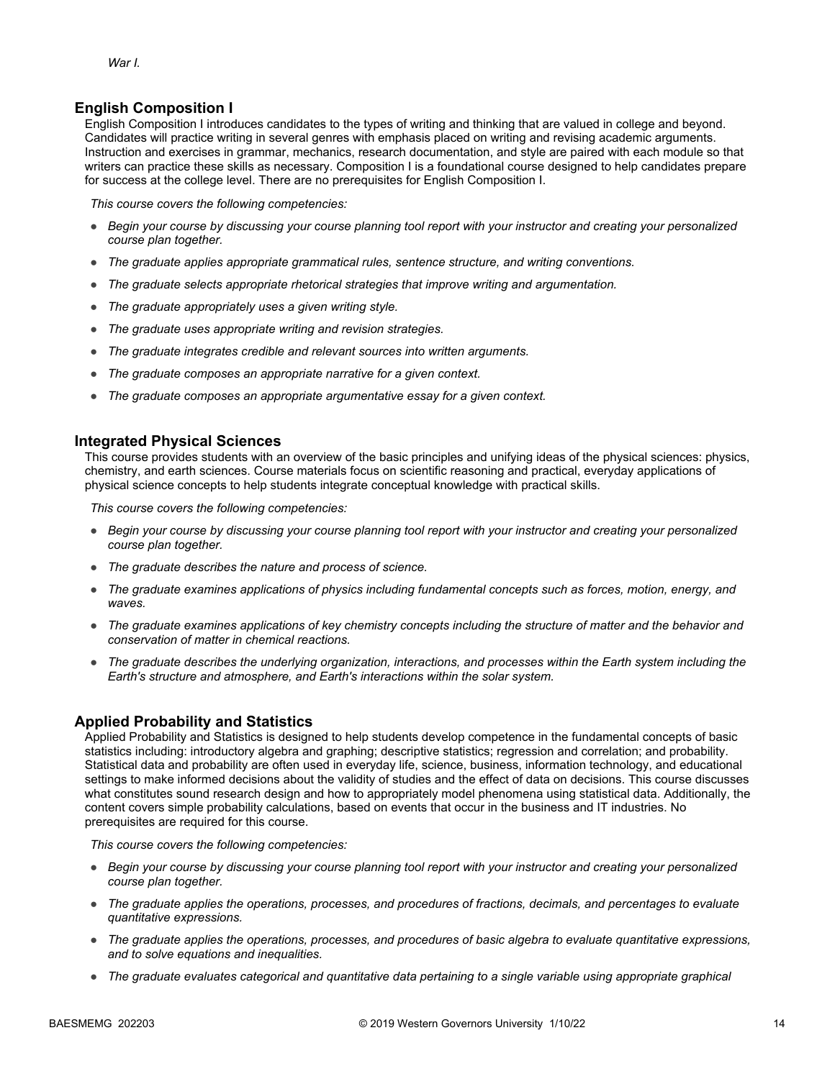#### **English Composition I**

English Composition I introduces candidates to the types of writing and thinking that are valued in college and beyond. Candidates will practice writing in several genres with emphasis placed on writing and revising academic arguments. Instruction and exercises in grammar, mechanics, research documentation, and style are paired with each module so that writers can practice these skills as necessary. Composition I is a foundational course designed to help candidates prepare for success at the college level. There are no prerequisites for English Composition I.

*This course covers the following competencies:*

- *Begin your course by discussing your course planning tool report with your instructor and creating your personalized course plan together.*
- *The graduate applies appropriate grammatical rules, sentence structure, and writing conventions.*
- *The graduate selects appropriate rhetorical strategies that improve writing and argumentation.*
- *The graduate appropriately uses a given writing style.*
- *The graduate uses appropriate writing and revision strategies.*
- *The graduate integrates credible and relevant sources into written arguments.*
- *The graduate composes an appropriate narrative for a given context.*
- *The graduate composes an appropriate argumentative essay for a given context.*

#### **Integrated Physical Sciences**

This course provides students with an overview of the basic principles and unifying ideas of the physical sciences: physics, chemistry, and earth sciences. Course materials focus on scientific reasoning and practical, everyday applications of physical science concepts to help students integrate conceptual knowledge with practical skills.

*This course covers the following competencies:*

- *Begin your course by discussing your course planning tool report with your instructor and creating your personalized course plan together.*
- *The graduate describes the nature and process of science.*
- *The graduate examines applications of physics including fundamental concepts such as forces, motion, energy, and waves.*
- *The graduate examines applications of key chemistry concepts including the structure of matter and the behavior and conservation of matter in chemical reactions.*
- *The graduate describes the underlying organization, interactions, and processes within the Earth system including the Earth's structure and atmosphere, and Earth's interactions within the solar system.*

#### **Applied Probability and Statistics**

Applied Probability and Statistics is designed to help students develop competence in the fundamental concepts of basic statistics including: introductory algebra and graphing; descriptive statistics; regression and correlation; and probability. Statistical data and probability are often used in everyday life, science, business, information technology, and educational settings to make informed decisions about the validity of studies and the effect of data on decisions. This course discusses what constitutes sound research design and how to appropriately model phenomena using statistical data. Additionally, the content covers simple probability calculations, based on events that occur in the business and IT industries. No prerequisites are required for this course.

- *Begin your course by discussing your course planning tool report with your instructor and creating your personalized course plan together.*
- *The graduate applies the operations, processes, and procedures of fractions, decimals, and percentages to evaluate quantitative expressions.*
- *The graduate applies the operations, processes, and procedures of basic algebra to evaluate quantitative expressions, and to solve equations and inequalities.*
- *The graduate evaluates categorical and quantitative data pertaining to a single variable using appropriate graphical*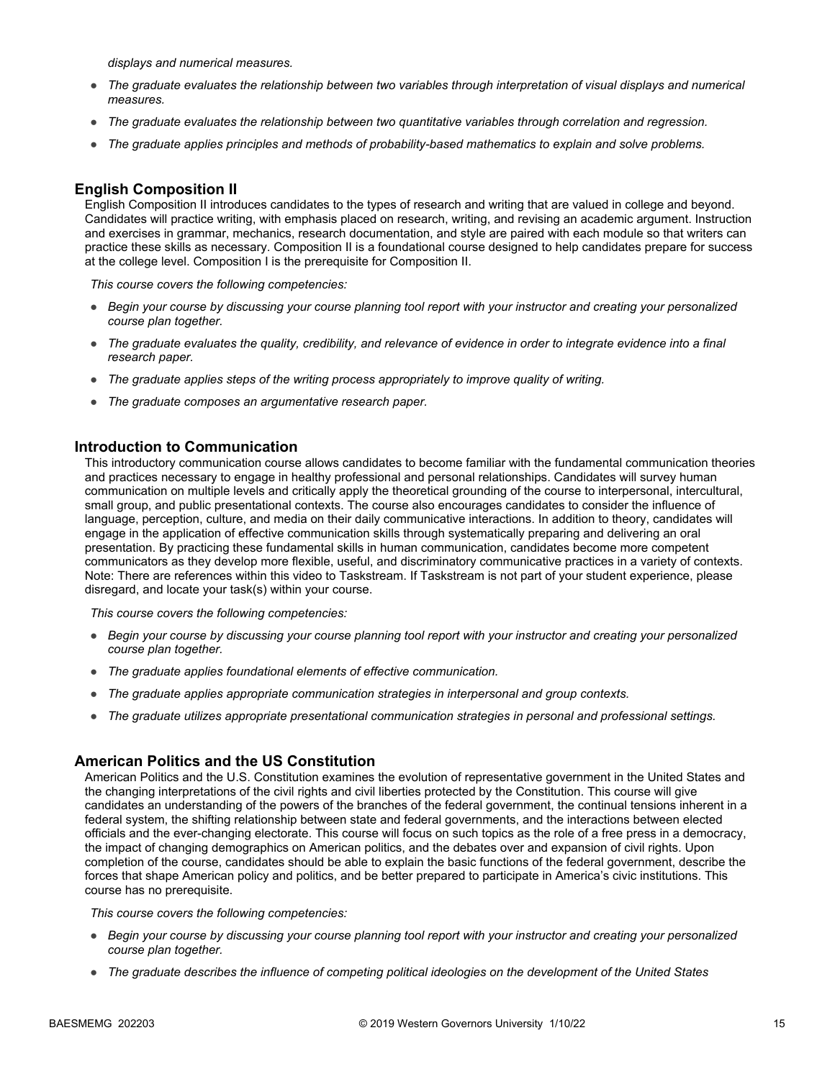*displays and numerical measures.*

- *The graduate evaluates the relationship between two variables through interpretation of visual displays and numerical measures.*
- *The graduate evaluates the relationship between two quantitative variables through correlation and regression.*
- *The graduate applies principles and methods of probability-based mathematics to explain and solve problems.*

#### **English Composition II**

English Composition II introduces candidates to the types of research and writing that are valued in college and beyond. Candidates will practice writing, with emphasis placed on research, writing, and revising an academic argument. Instruction and exercises in grammar, mechanics, research documentation, and style are paired with each module so that writers can practice these skills as necessary. Composition II is a foundational course designed to help candidates prepare for success at the college level. Composition I is the prerequisite for Composition II.

*This course covers the following competencies:*

- *Begin your course by discussing your course planning tool report with your instructor and creating your personalized course plan together.*
- *The graduate evaluates the quality, credibility, and relevance of evidence in order to integrate evidence into a final research paper.*
- *The graduate applies steps of the writing process appropriately to improve quality of writing.*
- *The graduate composes an argumentative research paper.*

#### **Introduction to Communication**

This introductory communication course allows candidates to become familiar with the fundamental communication theories and practices necessary to engage in healthy professional and personal relationships. Candidates will survey human communication on multiple levels and critically apply the theoretical grounding of the course to interpersonal, intercultural, small group, and public presentational contexts. The course also encourages candidates to consider the influence of language, perception, culture, and media on their daily communicative interactions. In addition to theory, candidates will engage in the application of effective communication skills through systematically preparing and delivering an oral presentation. By practicing these fundamental skills in human communication, candidates become more competent communicators as they develop more flexible, useful, and discriminatory communicative practices in a variety of contexts. Note: There are references within this video to Taskstream. If Taskstream is not part of your student experience, please disregard, and locate your task(s) within your course.

*This course covers the following competencies:*

- *Begin your course by discussing your course planning tool report with your instructor and creating your personalized course plan together.*
- *The graduate applies foundational elements of effective communication.*
- *The graduate applies appropriate communication strategies in interpersonal and group contexts.*
- *The graduate utilizes appropriate presentational communication strategies in personal and professional settings.*

#### **American Politics and the US Constitution**

American Politics and the U.S. Constitution examines the evolution of representative government in the United States and the changing interpretations of the civil rights and civil liberties protected by the Constitution. This course will give candidates an understanding of the powers of the branches of the federal government, the continual tensions inherent in a federal system, the shifting relationship between state and federal governments, and the interactions between elected officials and the ever-changing electorate. This course will focus on such topics as the role of a free press in a democracy, the impact of changing demographics on American politics, and the debates over and expansion of civil rights. Upon completion of the course, candidates should be able to explain the basic functions of the federal government, describe the forces that shape American policy and politics, and be better prepared to participate in America's civic institutions. This course has no prerequisite.

- *Begin your course by discussing your course planning tool report with your instructor and creating your personalized course plan together.*
- *The graduate describes the influence of competing political ideologies on the development of the United States*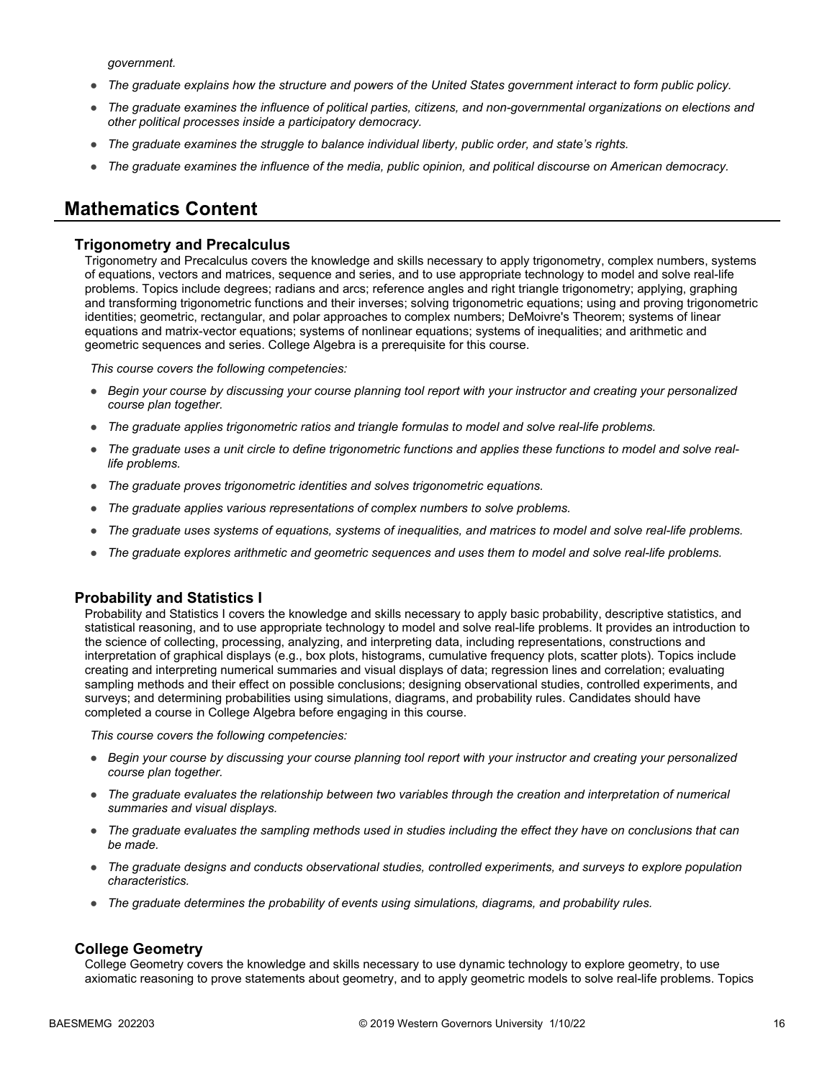*government.*

- *The graduate explains how the structure and powers of the United States government interact to form public policy.*
- *The graduate examines the influence of political parties, citizens, and non-governmental organizations on elections and other political processes inside a participatory democracy.*
- *The graduate examines the struggle to balance individual liberty, public order, and state's rights.*
- *The graduate examines the influence of the media, public opinion, and political discourse on American democracy.*

### **Mathematics Content**

#### **Trigonometry and Precalculus**

Trigonometry and Precalculus covers the knowledge and skills necessary to apply trigonometry, complex numbers, systems of equations, vectors and matrices, sequence and series, and to use appropriate technology to model and solve real-life problems. Topics include degrees; radians and arcs; reference angles and right triangle trigonometry; applying, graphing and transforming trigonometric functions and their inverses; solving trigonometric equations; using and proving trigonometric identities; geometric, rectangular, and polar approaches to complex numbers; DeMoivre's Theorem; systems of linear equations and matrix-vector equations; systems of nonlinear equations; systems of inequalities; and arithmetic and geometric sequences and series. College Algebra is a prerequisite for this course.

*This course covers the following competencies:*

- *Begin your course by discussing your course planning tool report with your instructor and creating your personalized course plan together.*
- *The graduate applies trigonometric ratios and triangle formulas to model and solve real-life problems.*
- *The graduate uses a unit circle to define trigonometric functions and applies these functions to model and solve reallife problems.*
- *The graduate proves trigonometric identities and solves trigonometric equations.*
- *The graduate applies various representations of complex numbers to solve problems.*
- *The graduate uses systems of equations, systems of inequalities, and matrices to model and solve real-life problems.*
- *The graduate explores arithmetic and geometric sequences and uses them to model and solve real-life problems.*

#### **Probability and Statistics I**

Probability and Statistics I covers the knowledge and skills necessary to apply basic probability, descriptive statistics, and statistical reasoning, and to use appropriate technology to model and solve real-life problems. It provides an introduction to the science of collecting, processing, analyzing, and interpreting data, including representations, constructions and interpretation of graphical displays (e.g., box plots, histograms, cumulative frequency plots, scatter plots). Topics include creating and interpreting numerical summaries and visual displays of data; regression lines and correlation; evaluating sampling methods and their effect on possible conclusions; designing observational studies, controlled experiments, and surveys; and determining probabilities using simulations, diagrams, and probability rules. Candidates should have completed a course in College Algebra before engaging in this course.

*This course covers the following competencies:*

- *Begin your course by discussing your course planning tool report with your instructor and creating your personalized course plan together.*
- *The graduate evaluates the relationship between two variables through the creation and interpretation of numerical summaries and visual displays.*
- *The graduate evaluates the sampling methods used in studies including the effect they have on conclusions that can be made.*
- *The graduate designs and conducts observational studies, controlled experiments, and surveys to explore population characteristics.*
- *The graduate determines the probability of events using simulations, diagrams, and probability rules.*

#### **College Geometry**

College Geometry covers the knowledge and skills necessary to use dynamic technology to explore geometry, to use axiomatic reasoning to prove statements about geometry, and to apply geometric models to solve real-life problems. Topics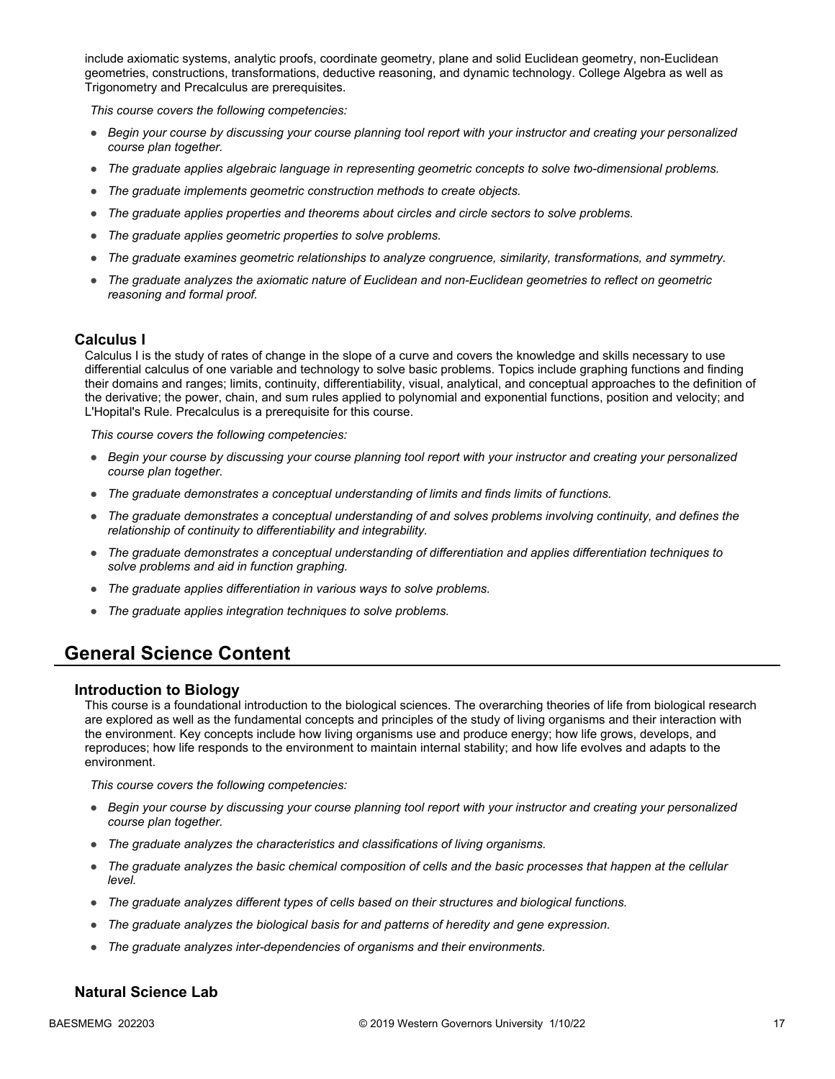include axiomatic systems, analytic proofs, coordinate geometry, plane and solid Euclidean geometry, non-Euclidean geometries, constructions, transformations, deductive reasoning, and dynamic technology. College Algebra as well as Trigonometry and Precalculus are prerequisites.

*This course covers the following competencies:*

- *Begin your course by discussing your course planning tool report with your instructor and creating your personalized course plan together.*
- *The graduate applies algebraic language in representing geometric concepts to solve two-dimensional problems.*
- *The graduate implements geometric construction methods to create objects.*
- *The graduate applies properties and theorems about circles and circle sectors to solve problems.*
- *The graduate applies geometric properties to solve problems.*
- *The graduate examines geometric relationships to analyze congruence, similarity, transformations, and symmetry.*
- *The graduate analyzes the axiomatic nature of Euclidean and non-Euclidean geometries to reflect on geometric reasoning and formal proof.*

#### **Calculus I**

Calculus I is the study of rates of change in the slope of a curve and covers the knowledge and skills necessary to use differential calculus of one variable and technology to solve basic problems. Topics include graphing functions and finding their domains and ranges; limits, continuity, differentiability, visual, analytical, and conceptual approaches to the definition of the derivative; the power, chain, and sum rules applied to polynomial and exponential functions, position and velocity; and L'Hopital's Rule. Precalculus is a prerequisite for this course.

*This course covers the following competencies:*

- *Begin your course by discussing your course planning tool report with your instructor and creating your personalized course plan together.*
- *The graduate demonstrates a conceptual understanding of limits and finds limits of functions.*
- *The graduate demonstrates a conceptual understanding of and solves problems involving continuity, and defines the relationship of continuity to differentiability and integrability.*
- *The graduate demonstrates a conceptual understanding of differentiation and applies differentiation techniques to solve problems and aid in function graphing.*
- *The graduate applies differentiation in various ways to solve problems.*
- *The graduate applies integration techniques to solve problems.*

## **General Science Content**

#### **Introduction to Biology**

This course is a foundational introduction to the biological sciences. The overarching theories of life from biological research are explored as well as the fundamental concepts and principles of the study of living organisms and their interaction with the environment. Key concepts include how living organisms use and produce energy; how life grows, develops, and reproduces; how life responds to the environment to maintain internal stability; and how life evolves and adapts to the environment.

*This course covers the following competencies:*

- *Begin your course by discussing your course planning tool report with your instructor and creating your personalized course plan together.*
- *The graduate analyzes the characteristics and classifications of living organisms.*
- *The graduate analyzes the basic chemical composition of cells and the basic processes that happen at the cellular level.*
- *The graduate analyzes different types of cells based on their structures and biological functions.*
- *The graduate analyzes the biological basis for and patterns of heredity and gene expression.*
- *The graduate analyzes inter-dependencies of organisms and their environments.*

#### **Natural Science Lab**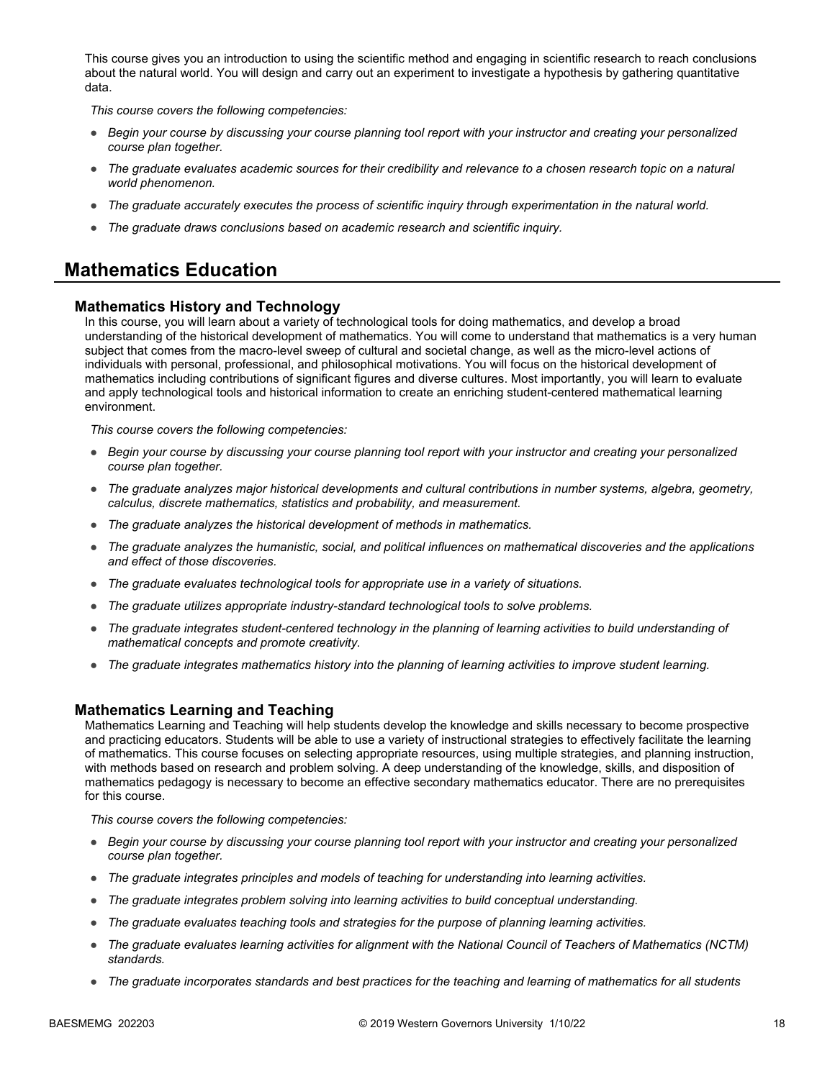This course gives you an introduction to using the scientific method and engaging in scientific research to reach conclusions about the natural world. You will design and carry out an experiment to investigate a hypothesis by gathering quantitative data.

*This course covers the following competencies:*

- *Begin your course by discussing your course planning tool report with your instructor and creating your personalized course plan together.*
- The graduate evaluates academic sources for their credibility and relevance to a chosen research topic on a natural *world phenomenon.*
- *The graduate accurately executes the process of scientific inquiry through experimentation in the natural world.*
- *The graduate draws conclusions based on academic research and scientific inquiry.*

# **Mathematics Education**

#### **Mathematics History and Technology**

In this course, you will learn about a variety of technological tools for doing mathematics, and develop a broad understanding of the historical development of mathematics. You will come to understand that mathematics is a very human subject that comes from the macro-level sweep of cultural and societal change, as well as the micro-level actions of individuals with personal, professional, and philosophical motivations. You will focus on the historical development of mathematics including contributions of significant figures and diverse cultures. Most importantly, you will learn to evaluate and apply technological tools and historical information to create an enriching student-centered mathematical learning environment.

*This course covers the following competencies:*

- *Begin your course by discussing your course planning tool report with your instructor and creating your personalized course plan together.*
- *The graduate analyzes major historical developments and cultural contributions in number systems, algebra, geometry, calculus, discrete mathematics, statistics and probability, and measurement.*
- *The graduate analyzes the historical development of methods in mathematics.*
- *The graduate analyzes the humanistic, social, and political influences on mathematical discoveries and the applications and effect of those discoveries.*
- *The graduate evaluates technological tools for appropriate use in a variety of situations.*
- *The graduate utilizes appropriate industry-standard technological tools to solve problems.*
- *The graduate integrates student-centered technology in the planning of learning activities to build understanding of mathematical concepts and promote creativity.*
- *The graduate integrates mathematics history into the planning of learning activities to improve student learning.*

#### **Mathematics Learning and Teaching**

Mathematics Learning and Teaching will help students develop the knowledge and skills necessary to become prospective and practicing educators. Students will be able to use a variety of instructional strategies to effectively facilitate the learning of mathematics. This course focuses on selecting appropriate resources, using multiple strategies, and planning instruction, with methods based on research and problem solving. A deep understanding of the knowledge, skills, and disposition of mathematics pedagogy is necessary to become an effective secondary mathematics educator. There are no prerequisites for this course.

- *Begin your course by discussing your course planning tool report with your instructor and creating your personalized course plan together.*
- *The graduate integrates principles and models of teaching for understanding into learning activities.*
- *The graduate integrates problem solving into learning activities to build conceptual understanding.*
- *The graduate evaluates teaching tools and strategies for the purpose of planning learning activities.*
- *The graduate evaluates learning activities for alignment with the National Council of Teachers of Mathematics (NCTM) standards.*
- *The graduate incorporates standards and best practices for the teaching and learning of mathematics for all students*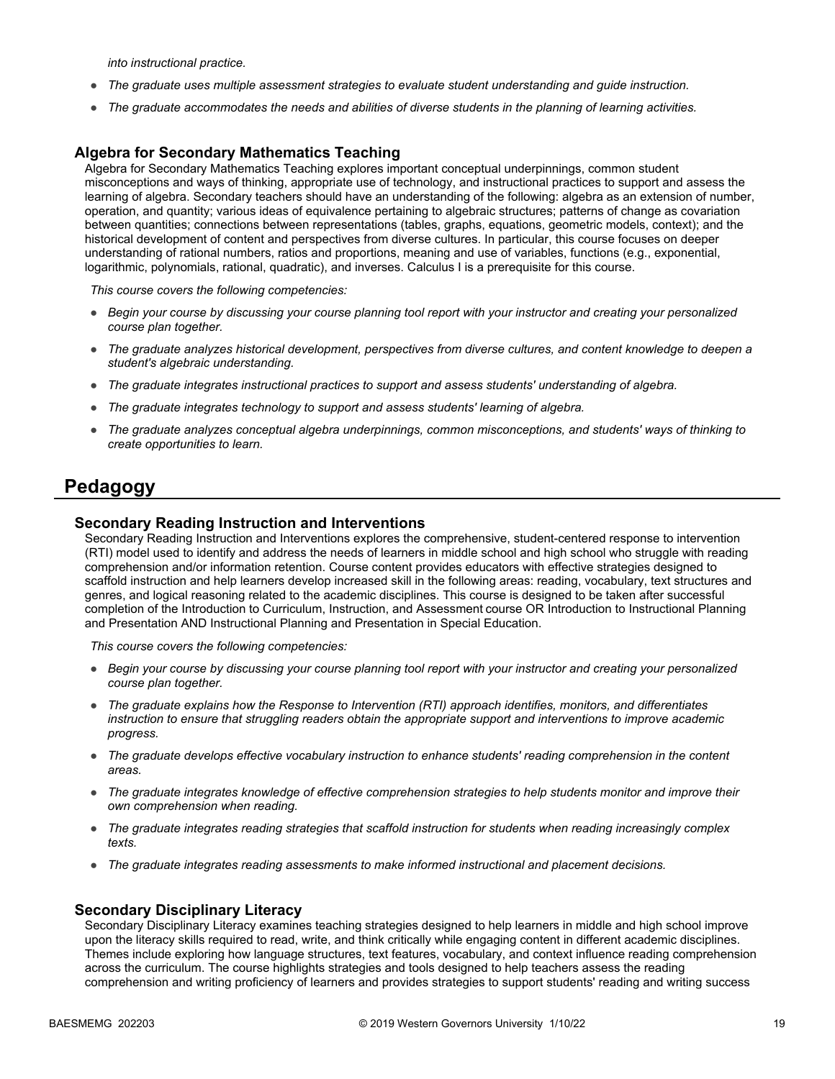*into instructional practice.*

- *The graduate uses multiple assessment strategies to evaluate student understanding and guide instruction.*
- *The graduate accommodates the needs and abilities of diverse students in the planning of learning activities.*

#### **Algebra for Secondary Mathematics Teaching**

Algebra for Secondary Mathematics Teaching explores important conceptual underpinnings, common student misconceptions and ways of thinking, appropriate use of technology, and instructional practices to support and assess the learning of algebra. Secondary teachers should have an understanding of the following: algebra as an extension of number, operation, and quantity; various ideas of equivalence pertaining to algebraic structures; patterns of change as covariation between quantities; connections between representations (tables, graphs, equations, geometric models, context); and the historical development of content and perspectives from diverse cultures. In particular, this course focuses on deeper understanding of rational numbers, ratios and proportions, meaning and use of variables, functions (e.g., exponential, logarithmic, polynomials, rational, quadratic), and inverses. Calculus I is a prerequisite for this course.

*This course covers the following competencies:*

- *Begin your course by discussing your course planning tool report with your instructor and creating your personalized course plan together.*
- *The graduate analyzes historical development, perspectives from diverse cultures, and content knowledge to deepen a student's algebraic understanding.*
- *The graduate integrates instructional practices to support and assess students' understanding of algebra.*
- *The graduate integrates technology to support and assess students' learning of algebra.*
- *The graduate analyzes conceptual algebra underpinnings, common misconceptions, and students' ways of thinking to create opportunities to learn.*

### **Pedagogy**

#### **Secondary Reading Instruction and Interventions**

Secondary Reading Instruction and Interventions explores the comprehensive, student-centered response to intervention (RTI) model used to identify and address the needs of learners in middle school and high school who struggle with reading comprehension and/or information retention. Course content provides educators with effective strategies designed to scaffold instruction and help learners develop increased skill in the following areas: reading, vocabulary, text structures and genres, and logical reasoning related to the academic disciplines. This course is designed to be taken after successful completion of the Introduction to Curriculum, Instruction, and Assessment course OR Introduction to Instructional Planning and Presentation AND Instructional Planning and Presentation in Special Education.

*This course covers the following competencies:*

- *Begin your course by discussing your course planning tool report with your instructor and creating your personalized course plan together.*
- *The graduate explains how the Response to Intervention (RTI) approach identifies, monitors, and differentiates instruction to ensure that struggling readers obtain the appropriate support and interventions to improve academic progress.*
- *The graduate develops effective vocabulary instruction to enhance students' reading comprehension in the content areas.*
- *The graduate integrates knowledge of effective comprehension strategies to help students monitor and improve their own comprehension when reading.*
- *The graduate integrates reading strategies that scaffold instruction for students when reading increasingly complex texts.*
- *The graduate integrates reading assessments to make informed instructional and placement decisions.*

#### **Secondary Disciplinary Literacy**

Secondary Disciplinary Literacy examines teaching strategies designed to help learners in middle and high school improve upon the literacy skills required to read, write, and think critically while engaging content in different academic disciplines. Themes include exploring how language structures, text features, vocabulary, and context influence reading comprehension across the curriculum. The course highlights strategies and tools designed to help teachers assess the reading comprehension and writing proficiency of learners and provides strategies to support students' reading and writing success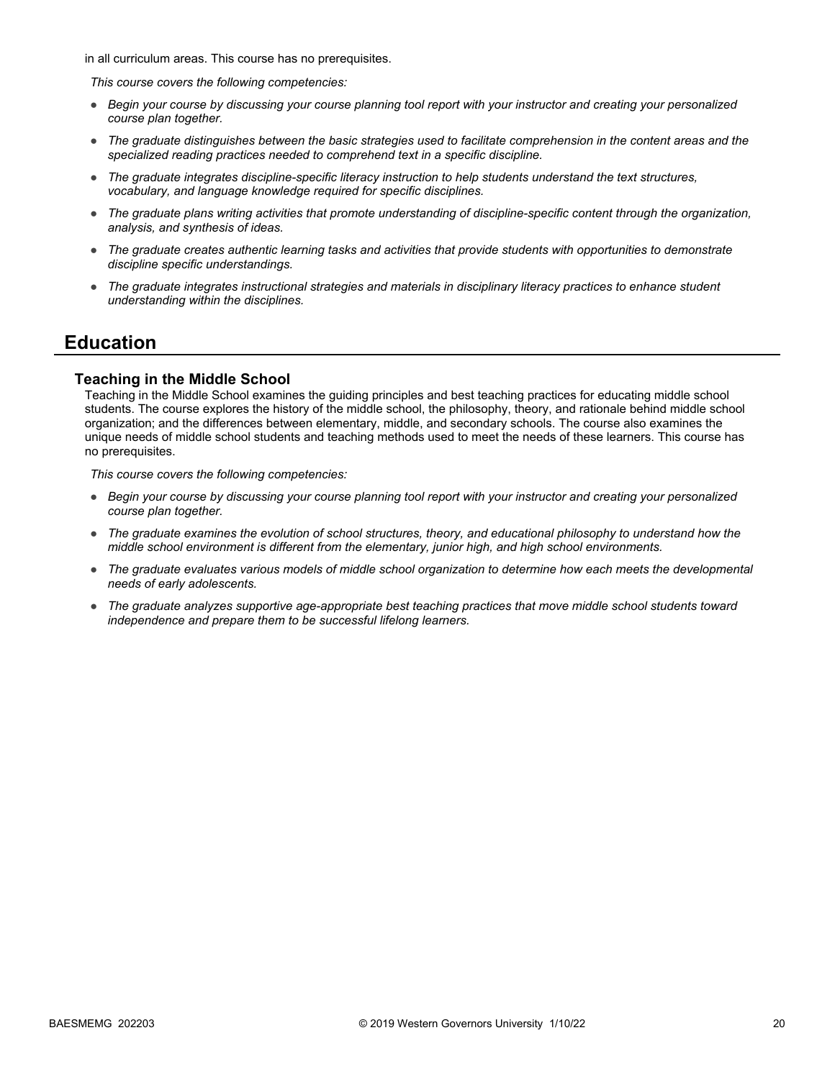in all curriculum areas. This course has no prerequisites.

*This course covers the following competencies:*

- *Begin your course by discussing your course planning tool report with your instructor and creating your personalized course plan together.*
- *The graduate distinguishes between the basic strategies used to facilitate comprehension in the content areas and the specialized reading practices needed to comprehend text in a specific discipline.*
- *The graduate integrates discipline-specific literacy instruction to help students understand the text structures, vocabulary, and language knowledge required for specific disciplines.*
- *The graduate plans writing activities that promote understanding of discipline-specific content through the organization, analysis, and synthesis of ideas.*
- *The graduate creates authentic learning tasks and activities that provide students with opportunities to demonstrate discipline specific understandings.*
- *The graduate integrates instructional strategies and materials in disciplinary literacy practices to enhance student understanding within the disciplines.*

### **Education**

#### **Teaching in the Middle School**

Teaching in the Middle School examines the guiding principles and best teaching practices for educating middle school students. The course explores the history of the middle school, the philosophy, theory, and rationale behind middle school organization; and the differences between elementary, middle, and secondary schools. The course also examines the unique needs of middle school students and teaching methods used to meet the needs of these learners. This course has no prerequisites.

- *Begin your course by discussing your course planning tool report with your instructor and creating your personalized course plan together.*
- *The graduate examines the evolution of school structures, theory, and educational philosophy to understand how the middle school environment is different from the elementary, junior high, and high school environments.*
- *The graduate evaluates various models of middle school organization to determine how each meets the developmental needs of early adolescents.*
- *The graduate analyzes supportive age-appropriate best teaching practices that move middle school students toward independence and prepare them to be successful lifelong learners.*